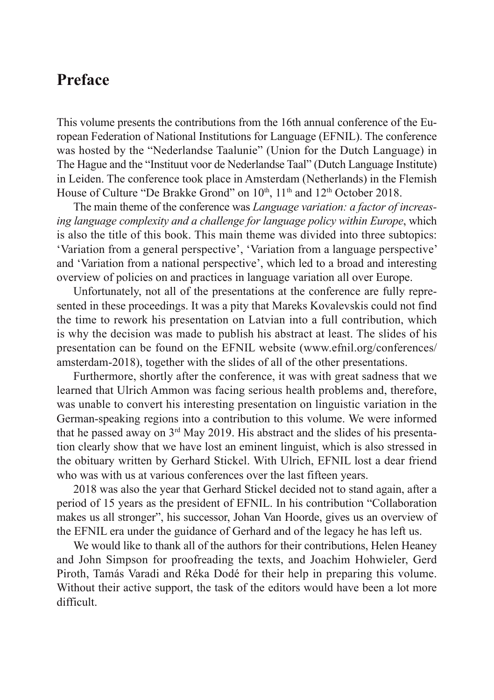## **Preface**

This volume presents the contributions from the 16th annual conference of the European Federation of National Institutions for Language (EFNIL). The conference was hosted by the "Nederlandse Taalunie" (Union for the Dutch Language) in The Hague and the "Instituut voor de Nederlandse Taal" (Dutch Language Institute) in Leiden. The conference took place in Amsterdam (Netherlands) in the Flemish House of Culture "De Brakke Grond" on 10<sup>th</sup>, 11<sup>th</sup> and 12<sup>th</sup> October 2018.

The main theme of the conference was *Language variation: a factor of increasing language complexity and a challenge for language policy within Europe*, which is also the title of this book. This main theme was divided into three subtopics: 'Variation from a general perspective', 'Variation from a language perspective' and 'Variation from a national perspective', which led to a broad and interesting overview of policies on and practices in language variation all over Europe.

Unfortunately, not all of the presentations at the conference are fully represented in these proceedings. It was a pity that Mareks Kovalevskis could not find the time to rework his presentation on Latvian into a full contribution, which is why the decision was made to publish his abstract at least. The slides of his presentation can be found on the EFNIL website (www.efnil.org/conferences/ amsterdam-2018), together with the slides of all of the other presentations.

Furthermore, shortly after the conference, it was with great sadness that we learned that Ulrich Ammon was facing serious health problems and, therefore, was unable to convert his interesting presentation on linguistic variation in the German-speaking regions into a contribution to this volume. We were informed that he passed away on  $3<sup>rd</sup>$  May 2019. His abstract and the slides of his presentation clearly show that we have lost an eminent linguist, which is also stressed in the obituary written by Gerhard Stickel. With Ulrich, EFNIL lost a dear friend who was with us at various conferences over the last fifteen years.

2018 was also the year that Gerhard Stickel decided not to stand again, after a period of 15 years as the president of EFNIL. In his contribution "Collaboration makes us all stronger", his successor, Johan Van Hoorde, gives us an overview of the EFNIL era under the guidance of Gerhard and of the legacy he has left us.

We would like to thank all of the authors for their contributions, Helen Heaney and John Simpson for proofreading the texts, and Joachim Hohwieler, Gerd Piroth, Tamás Varadi and Réka Dodé for their help in preparing this volume. Without their active support, the task of the editors would have been a lot more difficult.